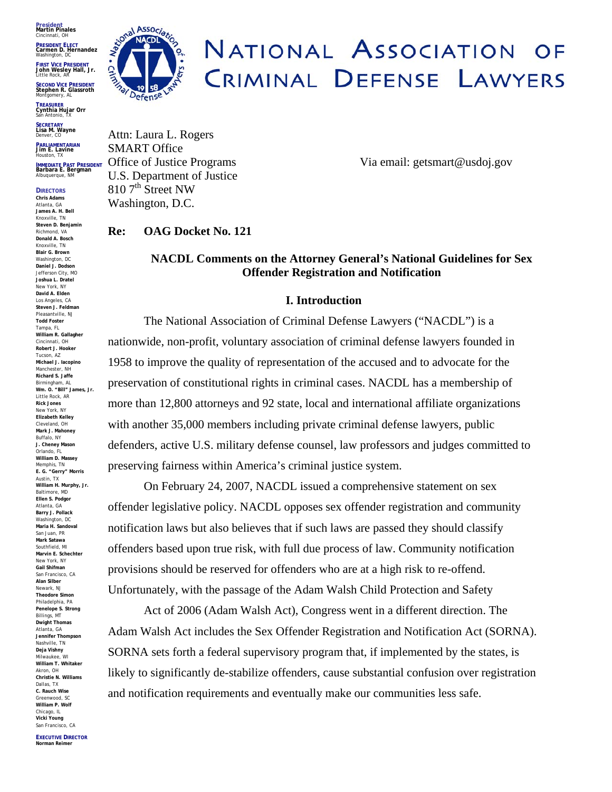**President Martin Pinales** Cincinnati, OH

**PRESIDENT ELECT Carmen D. Hernandez** Washington, DC

**FIRST VICE PRESIDENT John Wesley Hall, Jr.** Little Rock, AR

**SECOND VICE PRESIDENT Stephen R. Glassroth** Montgomery, AL

**TREASURER<br>Cynthia Hujar Orr<br><sup>San Antonio, TX**</sup>

**SECRETARY Lisa M. Wayn <sup>e</sup>** Denver, CO

**PARLIAMENTARIAN Jim E. Lavine** Houston, TX

**DIRECTORS** 

**IMMEDIATE PAST PRESIDENT Barbara E. Bergman** Albuquerque, NM

**Chris Adams** Atlanta, GA **James A. H. Bell** Knoxville, TN **Steven D. Benjamin** Richmond, VA **Donald A. Bosch** Knoxville, TN **Blair G. Brown** Washington, DC **Daniel J. Dodson** Jefferson City, MO **Joshua L. Dratel** New York, NY **David A. Elden** Los Angeles, CA **Steven J. Feldman** Pleasantville, NJ **Todd Foster** Tampa, FL **William R. Gallagher** Cincinnati, OH **Robert J. Hooker** Tucson, AZ **Michael J. Iacopino** Manchester, NH **Richard S. Jaffe** Birmingham, AL **Wm. O. "Bill" James, Jr.** Little Rock, AR **Rick Jones** New York, NY **Elizabeth Kelley** Cleveland, OH **Mark J. Mahoney** Buffalo, NY **J. Cheney Mason** Orlando, FL **William D. Massey** Memphis, TN **E. G. "Gerry" Morris** Austin, TX **William H. Murphy, Jr.** Baltimore, MD **Ellen S. Podgor** Atlanta, GA **Barry J. Pollack** Washington, DC **Maria H. Sandoval** San Juan, PR **Mark Satawa**  Southfield, MI **Marvin E. Schechter**  New York, NY **Gail Shifman**  San Francisco, CA **Alan Silber** Newark, NJ **Theodore Simon**  Philadelphia, PA **Penelope S. Strong** Billings, MT **Dwight Thomas** Atlanta, GA **Jennifer Thompson**  Nashville, TN **Deja Vishny**  Milwaukee, WI **William T. Whitaker** Akron, OH **Christie N. Williams** Dallas, TX **C. Rauch Wise**  Greenwood, SC **William P. Wolf** Chicago, IL **Vicki Young** San Francisco, CA



# NATIONAL ASSOCIATION OF CRIMINAL DEFENSE LAWYERS

Attn: Laura L. Rogers SMART Office U.S. Department of Justice  $810$  7<sup>th</sup> Street NW Washington, D.C.

Office of Justice Programs Via email: getsmart@usdoj.gov

**Re: OAG Docket No. 121** 

## **NACDL Comments on the Attorney General's National Guidelines for Sex Offender Registration and Notification**

### **I. Introduction**

The National Association of Criminal Defense Lawyers ("NACDL") is a nationwide, non-profit, voluntary association of criminal defense lawyers founded in 1958 to improve the quality of representation of the accused and to advocate for the preservation of constitutional rights in criminal cases. NACDL has a membership of more than 12,800 attorneys and 92 state, local and international affiliate organizations with another 35,000 members including private criminal defense lawyers, public defenders, active U.S. military defense counsel, law professors and judges committed to preserving fairness within America's criminal justice system.

On February 24, 2007, NACDL issued a comprehensive statement on sex offender legislative policy. NACDL opposes sex offender registration and community notification laws but also believes that if such laws are passed they should classify offenders based upon true risk, with full due process of law. Community notification provisions should be reserved for offenders who are at a high risk to re-offend. Unfortunately, with the passage of the Adam Walsh Child Protection and Safety

Act of 2006 (Adam Walsh Act), Congress went in a different direction. The Adam Walsh Act includes the Sex Offender Registration and Notification Act (SORNA). SORNA sets forth a federal supervisory program that, if implemented by the states, is likely to significantly de-stabilize offenders, cause substantial confusion over registration and notification requirements and eventually make our communities less safe.

**EXECUTIVE DIRECTOR Norman Reimer**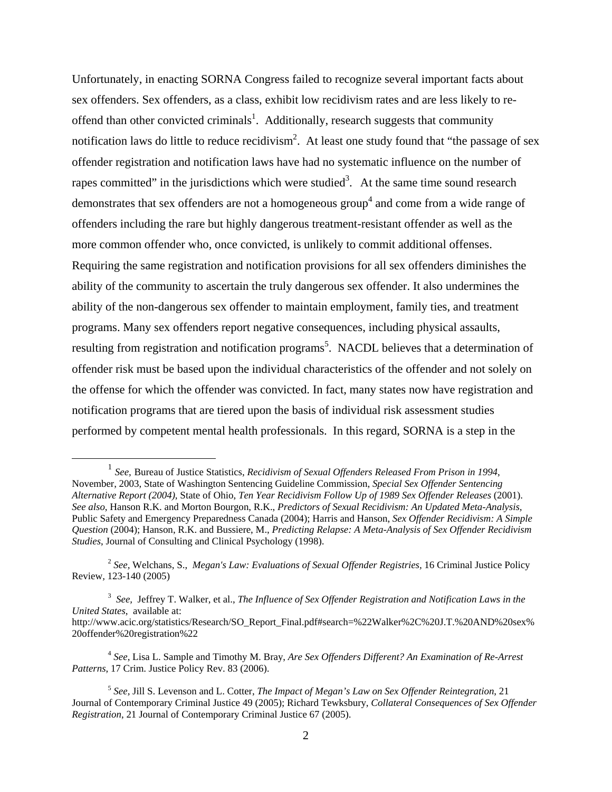Unfortunately, in enacting SORNA Congress failed to recognize several important facts about sex offenders. Sex offenders, as a class, exhibit low recidivism rates and are less likely to re-offend than other convicted criminals<sup>[1](#page-1-0)</sup>. Additionally, research suggests that community notification laws do little to reduce recidivism<sup>[2](#page-1-1)</sup>. At least one study found that "the passage of sex offender registration and notification laws have had no systematic influence on the number of rapes committed" in the jurisdictions which were studied<sup>[3](#page-1-2)</sup>. At the same time sound research demonstrates that sex offenders are not a homogeneous group<sup>[4](#page-1-3)</sup> and come from a wide range of offenders including the rare but highly dangerous treatment-resistant offender as well as the more common offender who, once convicted, is unlikely to commit additional offenses. Requiring the same registration and notification provisions for all sex offenders diminishes the ability of the community to ascertain the truly dangerous sex offender. It also undermines the ability of the non-dangerous sex offender to maintain employment, family ties, and treatment programs. Many sex offenders report negative consequences, including physical assaults, resulting from registration and notification programs<sup>[5](#page-1-4)</sup>. NACDL believes that a determination of offender risk must be based upon the individual characteristics of the offender and not solely on the offense for which the offender was convicted. In fact, many states now have registration and notification programs that are tiered upon the basis of individual risk assessment studies performed by competent mental health professionals. In this regard, SORNA is a step in the

<span id="page-1-2"></span>3 *See,* Jeffrey T. Walker, et al., *The Influence of Sex Offender Registration and Notification Laws in the United States*, available at: http://www.acic.org/statistics/Research/SO\_Report\_Final.pdf#search=%22Walker%2C%20J.T.%20AND%20sex% 20offender%20registration%22

<span id="page-1-3"></span><sup>4</sup> *See*, Lisa L. Sample and Timothy M. Bray, *Are Sex Offenders Different? An Examination of Re-Arrest Patterns*, 17 Crim. Justice Policy Rev. 83 (2006).

<span id="page-1-0"></span> <sup>1</sup> *See,* Bureau of Justice Statistics, *Recidivism of Sexual Offenders Released From Prison in <sup>1994</sup>*, November, 2003, State of Washington Sentencing Guideline Commission, *Special Sex Offender Sentencing Alternative Report (2004)*, State of Ohio, *Ten Year Recidivism Follow Up of 1989 Sex Offender Releases* (2001). *See also*, Hanson R.K. and Morton Bourgon, R.K., *Predictors of Sexual Recidivism: An Updated Meta-Analysis,* Public Safety and Emergency Preparedness Canada (2004); Harris and Hanson, *Sex Offender Recidivism: A Simple Question* (2004); Hanson, R.K. and Bussiere, M., *Predicting Relapse: A Meta-Analysis of Sex Offender Recidivism Studies*, Journal of Consulting and Clinical Psychology (1998).

<span id="page-1-1"></span><sup>2</sup> *See,* Welchans, S., *Megan's Law: Evaluations of Sexual Offender Registries,* 16 Criminal Justice Policy Review*,* 123-140 (2005)

<span id="page-1-4"></span><sup>5</sup> *See,* Jill S. Levenson and L. Cotter, *The Impact of Megan's Law on Sex Offender Reintegration*, 21 Journal of Contemporary Criminal Justice 49 (2005); Richard Tewksbury, *Collateral Consequences of Sex Offender Registration*, 21 Journal of Contemporary Criminal Justice 67 (2005).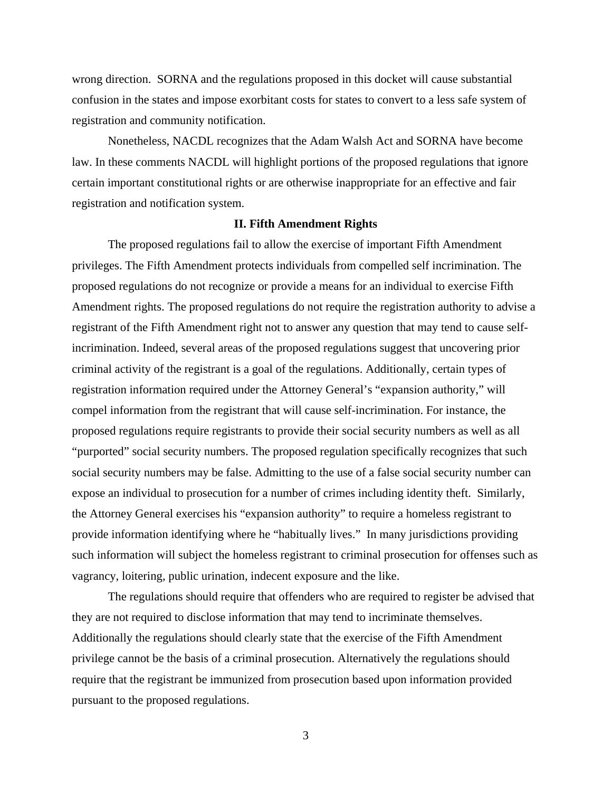wrong direction. SORNA and the regulations proposed in this docket will cause substantial confusion in the states and impose exorbitant costs for states to convert to a less safe system of registration and community notification.

Nonetheless, NACDL recognizes that the Adam Walsh Act and SORNA have become law. In these comments NACDL will highlight portions of the proposed regulations that ignore certain important constitutional rights or are otherwise inappropriate for an effective and fair registration and notification system.

#### **II. Fifth Amendment Rights**

The proposed regulations fail to allow the exercise of important Fifth Amendment privileges. The Fifth Amendment protects individuals from compelled self incrimination. The proposed regulations do not recognize or provide a means for an individual to exercise Fifth Amendment rights. The proposed regulations do not require the registration authority to advise a registrant of the Fifth Amendment right not to answer any question that may tend to cause selfincrimination. Indeed, several areas of the proposed regulations suggest that uncovering prior criminal activity of the registrant is a goal of the regulations. Additionally, certain types of registration information required under the Attorney General's "expansion authority," will compel information from the registrant that will cause self-incrimination. For instance, the proposed regulations require registrants to provide their social security numbers as well as all "purported" social security numbers. The proposed regulation specifically recognizes that such social security numbers may be false. Admitting to the use of a false social security number can expose an individual to prosecution for a number of crimes including identity theft. Similarly, the Attorney General exercises his "expansion authority" to require a homeless registrant to provide information identifying where he "habitually lives." In many jurisdictions providing such information will subject the homeless registrant to criminal prosecution for offenses such as vagrancy, loitering, public urination, indecent exposure and the like.

The regulations should require that offenders who are required to register be advised that they are not required to disclose information that may tend to incriminate themselves. Additionally the regulations should clearly state that the exercise of the Fifth Amendment privilege cannot be the basis of a criminal prosecution. Alternatively the regulations should require that the registrant be immunized from prosecution based upon information provided pursuant to the proposed regulations.

3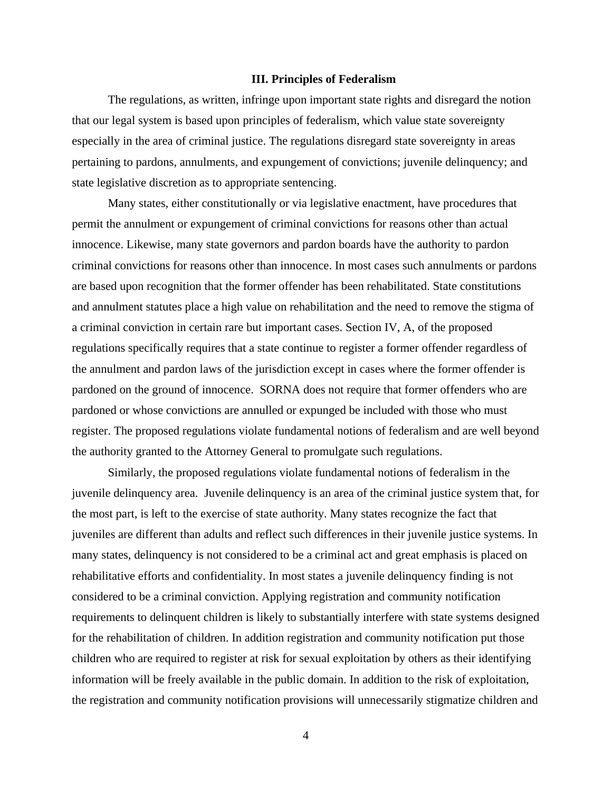#### **III. Principles of Federalism**

The regulations, as written, infringe upon important state rights and disregard the notion that our legal system is based upon principles of federalism, which value state sovereignty especially in the area of criminal justice. The regulations disregard state sovereignty in areas pertaining to pardons, annulments, and expungement of convictions; juvenile delinquency; and state legislative discretion as to appropriate sentencing.

Many states, either constitutionally or via legislative enactment, have procedures that permit the annulment or expungement of criminal convictions for reasons other than actual innocence. Likewise, many state governors and pardon boards have the authority to pardon criminal convictions for reasons other than innocence. In most cases such annulments or pardons are based upon recognition that the former offender has been rehabilitated. State constitutions and annulment statutes place a high value on rehabilitation and the need to remove the stigma of a criminal conviction in certain rare but important cases. Section IV, A, of the proposed regulations specifically requires that a state continue to register a former offender regardless of the annulment and pardon laws of the jurisdiction except in cases where the former offender is pardoned on the ground of innocence. SORNA does not require that former offenders who are pardoned or whose convictions are annulled or expunged be included with those who must register. The proposed regulations violate fundamental notions of federalism and are well beyond the authority granted to the Attorney General to promulgate such regulations.

Similarly, the proposed regulations violate fundamental notions of federalism in the juvenile delinquency area. Juvenile delinquency is an area of the criminal justice system that, for the most part, is left to the exercise of state authority. Many states recognize the fact that juveniles are different than adults and reflect such differences in their juvenile justice systems. In many states, delinquency is not considered to be a criminal act and great emphasis is placed on rehabilitative efforts and confidentiality. In most states a juvenile delinquency finding is not considered to be a criminal conviction. Applying registration and community notification requirements to delinquent children is likely to substantially interfere with state systems designed for the rehabilitation of children. In addition registration and community notification put those children who are required to register at risk for sexual exploitation by others as their identifying information will be freely available in the public domain. In addition to the risk of exploitation, the registration and community notification provisions will unnecessarily stigmatize children and

4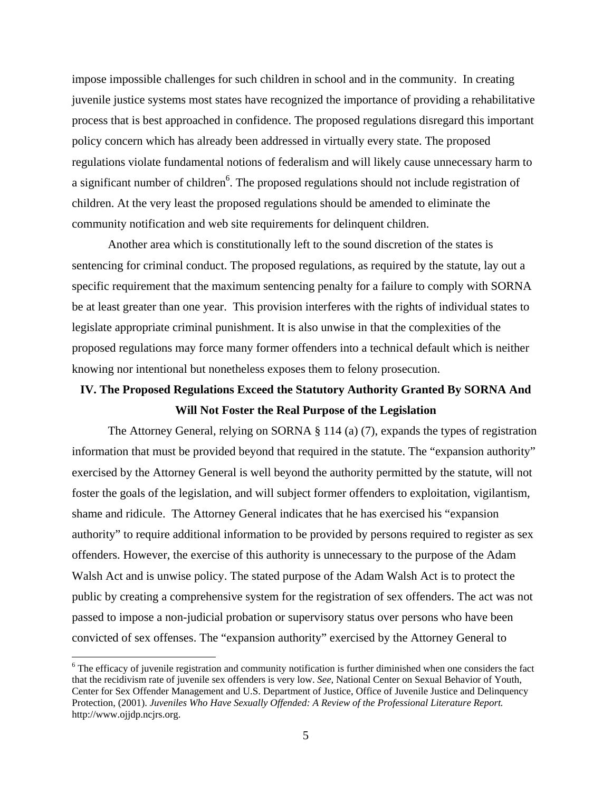impose impossible challenges for such children in school and in the community. In creating juvenile justice systems most states have recognized the importance of providing a rehabilitative process that is best approached in confidence. The proposed regulations disregard this important policy concern which has already been addressed in virtually every state. The proposed regulations violate fundamental notions of federalism and will likely cause unnecessary harm to a significant number of children<sup>[6](#page-4-0)</sup>. The proposed regulations should not include registration of children. At the very least the proposed regulations should be amended to eliminate the community notification and web site requirements for delinquent children.

Another area which is constitutionally left to the sound discretion of the states is sentencing for criminal conduct. The proposed regulations, as required by the statute, lay out a specific requirement that the maximum sentencing penalty for a failure to comply with SORNA be at least greater than one year. This provision interferes with the rights of individual states to legislate appropriate criminal punishment. It is also unwise in that the complexities of the proposed regulations may force many former offenders into a technical default which is neither knowing nor intentional but nonetheless exposes them to felony prosecution.

# **IV. The Proposed Regulations Exceed the Statutory Authority Granted By SORNA And Will Not Foster the Real Purpose of the Legislation**

The Attorney General, relying on SORNA § 114 (a) (7), expands the types of registration information that must be provided beyond that required in the statute. The "expansion authority" exercised by the Attorney General is well beyond the authority permitted by the statute, will not foster the goals of the legislation, and will subject former offenders to exploitation, vigilantism, shame and ridicule. The Attorney General indicates that he has exercised his "expansion authority" to require additional information to be provided by persons required to register as sex offenders. However, the exercise of this authority is unnecessary to the purpose of the Adam Walsh Act and is unwise policy. The stated purpose of the Adam Walsh Act is to protect the public by creating a comprehensive system for the registration of sex offenders. The act was not passed to impose a non-judicial probation or supervisory status over persons who have been convicted of sex offenses. The "expansion authority" exercised by the Attorney General to

1

<span id="page-4-0"></span><sup>&</sup>lt;sup>6</sup> The efficacy of juvenile registration and community notification is further diminished when one considers the fact that the recidivism rate of juvenile sex offenders is very low. *See,* National Center on Sexual Behavior of Youth, Center for Sex Offender Management and U.S. Department of Justice, Office of Juvenile Justice and Delinquency Protection, (2001). *Juveniles Who Have Sexually Offended: A Review of the Professional Literature Report.* http://www.ojjdp.ncjrs.org.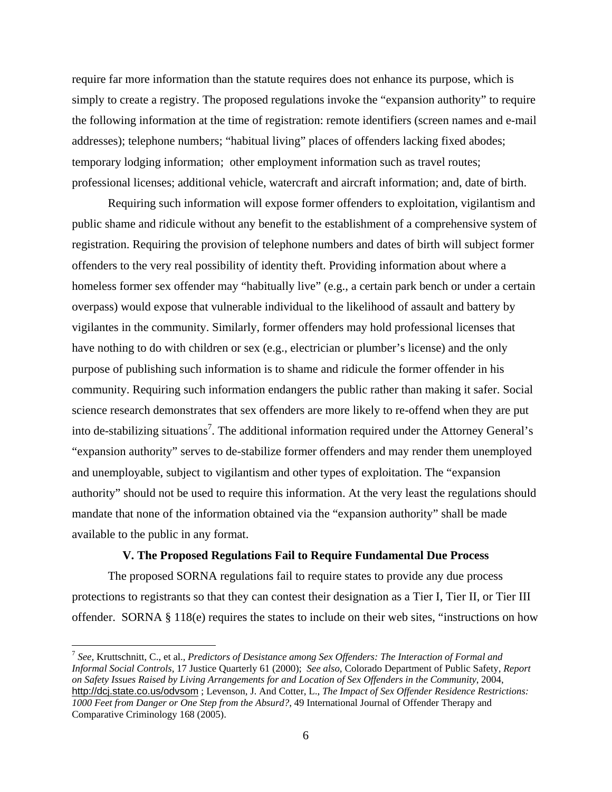require far more information than the statute requires does not enhance its purpose, which is simply to create a registry. The proposed regulations invoke the "expansion authority" to require the following information at the time of registration: remote identifiers (screen names and e-mail addresses); telephone numbers; "habitual living" places of offenders lacking fixed abodes; temporary lodging information; other employment information such as travel routes; professional licenses; additional vehicle, watercraft and aircraft information; and, date of birth.

Requiring such information will expose former offenders to exploitation, vigilantism and public shame and ridicule without any benefit to the establishment of a comprehensive system of registration. Requiring the provision of telephone numbers and dates of birth will subject former offenders to the very real possibility of identity theft. Providing information about where a homeless former sex offender may "habitually live" (e.g., a certain park bench or under a certain overpass) would expose that vulnerable individual to the likelihood of assault and battery by vigilantes in the community. Similarly, former offenders may hold professional licenses that have nothing to do with children or sex (e.g., electrician or plumber's license) and the only purpose of publishing such information is to shame and ridicule the former offender in his community. Requiring such information endangers the public rather than making it safer. Social science research demonstrates that sex offenders are more likely to re-offend when they are put into de-stabilizing situations<sup>[7](#page-5-0)</sup>. The additional information required under the Attorney General's "expansion authority" serves to de-stabilize former offenders and may render them unemployed and unemployable, subject to vigilantism and other types of exploitation. The "expansion authority" should not be used to require this information. At the very least the regulations should mandate that none of the information obtained via the "expansion authority" shall be made available to the public in any format.

## **V. The Proposed Regulations Fail to Require Fundamental Due Process**

The proposed SORNA regulations fail to require states to provide any due process protections to registrants so that they can contest their designation as a Tier I, Tier II, or Tier III offender. SORNA § 118(e) requires the states to include on their web sites, "instructions on how

 $\overline{a}$ 

<span id="page-5-0"></span><sup>7</sup> *See,* Kruttschnitt, C., et al., *Predictors of Desistance among Sex Offenders: The Interaction of Formal and Informal Social Controls*, 17 Justice Quarterly 61 (2000); *See also*, Colorado Department of Public Safety, *Report on Safety Issues Raised by Living Arrangements for and Location of Sex Offenders in the Community*, 2004, http://dcj.state.co.us/odvsom ; Levenson, J. And Cotter, L., *The Impact of Sex Offender Residence Restrictions: 1000 Feet from Danger or One Step from the Absurd?*, 49 International Journal of Offender Therapy and Comparative Criminology 168 (2005).